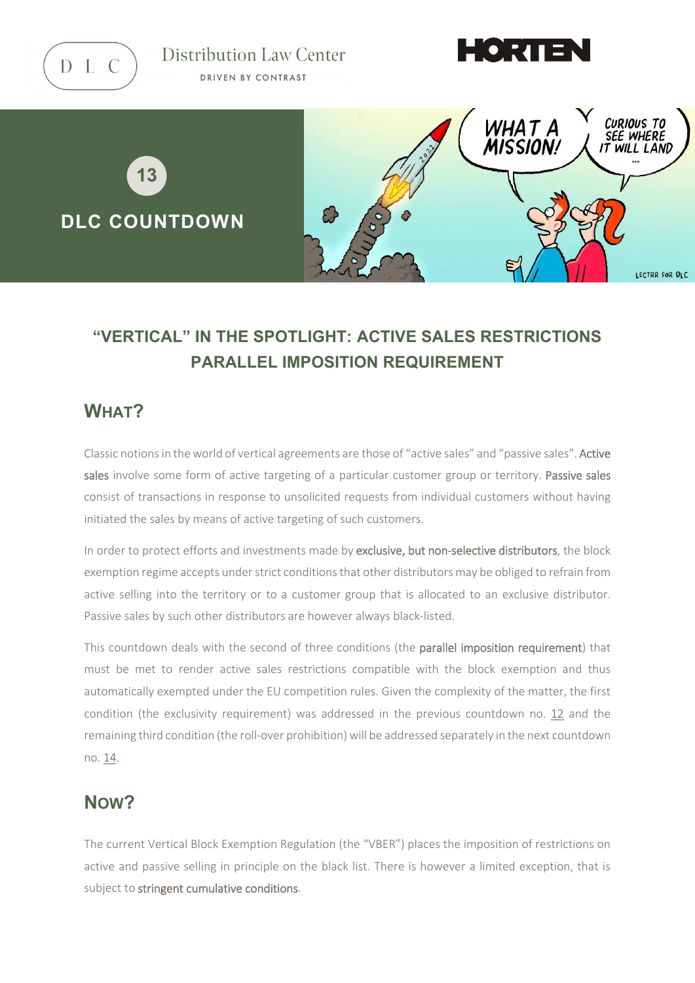

Distribution Law Center DRIVEN BY CONTRAST





# **"VERTICAL" IN THE SPOTLIGHT: ACTIVE SALES RESTRICTIONS PARALLEL IMPOSITION REQUIREMENT**

# **WHAT?**

Classic notions in the world of vertical agreements are those of "active sales" and "passive sales". Active sales involve some form of active targeting of a particular customer group or territory. Passive sales consist of transactions in response to unsolicited requests from individual customers without having initiated the sales by means of active targeting of such customers.

In order to protect efforts and investments made by exclusive, but non-selective distributors, the block exemption regime accepts under strict conditions that other distributors may be obliged to refrain from active selling into the territory or to a customer group that is allocated to an exclusive distributor. Passive sales by such other distributors are however always black-listed.

This countdown deals with the second of three conditions (the parallel imposition requirement) that must be met to render active sales restrictions compatible with the block exemption and thus automatically exempted under the EU competition rules. Given the complexity of the matter, the first condition (the exclusivity requirement) was addressed in the previous countdown no. [12](https://www.distributionlawcenter.com/news-analysis/distribution-law-center-countdown-xii-active-sales-restrictions-exclusivity-condition/) and the remaining third condition (the roll-over prohibition) will be addressed separately in the next countdown no[. 14.](https://www.distributionlawcenter.com/news-analysis/distribution-law-center-countdown-xiv-active-sales-restrictions-rolling-over-prohibition/)

# **NOW?**

The current Vertical Block Exemption Regulation (the "VBER") places the imposition of restrictions on active and passive selling in principle on the black list. There is however a limited exception, that is subject to stringent cumulative conditions.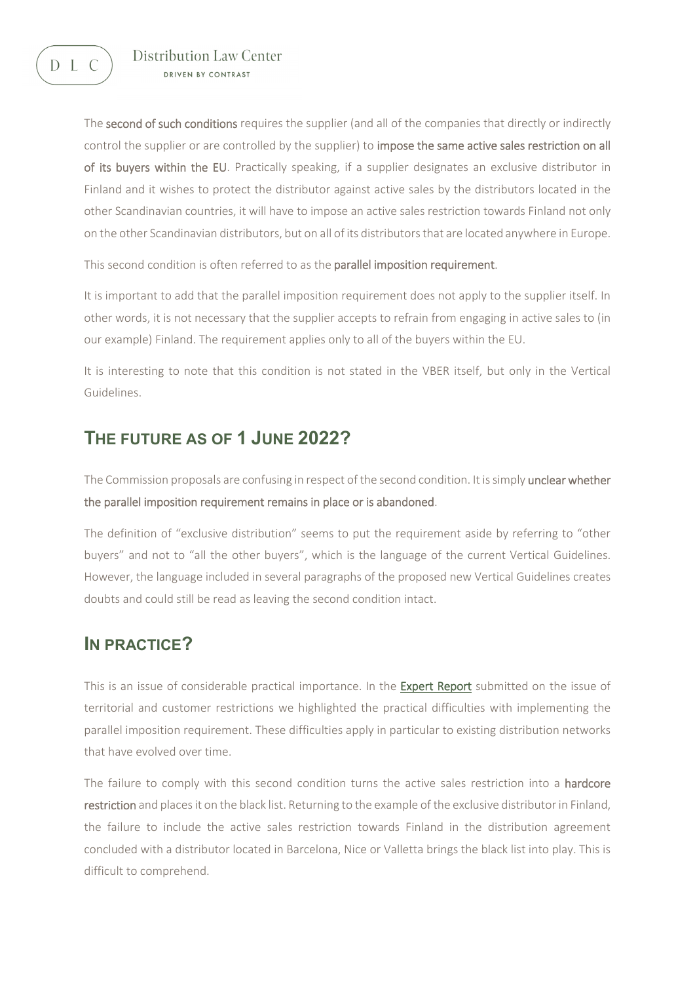D L C

#### Distribution Law Center DRIVEN BY CONTRAST

The second of such conditions requires the supplier (and all of the companies that directly or indirectly control the supplier or are controlled by the supplier) to impose the same active sales restriction on all of its buyers within the EU. Practically speaking, if a supplier designates an exclusive distributor in Finland and it wishes to protect the distributor against active sales by the distributors located in the other Scandinavian countries, it will have to impose an active sales restriction towards Finland not only on the other Scandinavian distributors, but on all of its distributors that are located anywhere in Europe.

This second condition is often referred to as the **parallel imposition requirement**.

It is important to add that the parallel imposition requirement does not apply to the supplier itself. In other words, it is not necessary that the supplier accepts to refrain from engaging in active sales to (in our example) Finland. The requirement applies only to all of the buyers within the EU.

It is interesting to note that this condition is not stated in the VBER itself, but only in the Vertical Guidelines.

### **THE FUTURE AS OF 1 JUNE 2022?**

The Commission proposals are confusing in respect of the second condition. It is simply unclear whether the parallel imposition requirement remains in place or is abandoned.

The definition of "exclusive distribution" seems to put the requirement aside by referring to "other buyers" and not to "all the other buyers", which is the language of the current Vertical Guidelines. However, the language included in several paragraphs of the proposed new Vertical Guidelines creates doubts and could still be read as leaving the second condition intact.

### **IN PRACTICE?**

This is an issue of considerable practical importance. In the **Expert Report** submitted on the issue of territorial and customer restrictions we highlighted the practical difficulties with implementing the parallel imposition requirement. These difficulties apply in particular to existing distribution networks that have evolved over time.

The failure to comply with this second condition turns the active sales restriction into a hardcore restriction and places it on the black list. Returning to the example of the exclusive distributor in Finland, the failure to include the active sales restriction towards Finland in the distribution agreement concluded with a distributor located in Barcelona, Nice or Valletta brings the black list into play. This is difficult to comprehend.